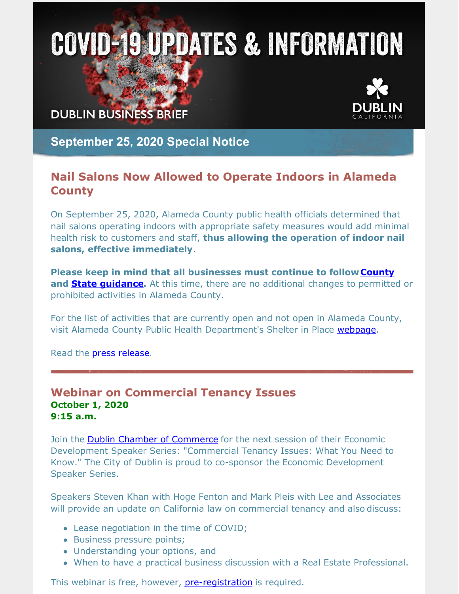# **COVID-19 UPDATES & INFORMATION**

**DUBLIN BUSINESS BRIEF** 



**September 25, 2020 Special Notice**

#### **Nail Salons Now Allowed to Operate Indoors in Alameda County**

On September 25, 2020, Alameda County public health officials determined that nail salons operating indoors with appropriate safety measures would add minimal health risk to customers and staff, **thus allowing the operation of indoor nail salons, effective immediately**.

**Please keep in mind that all businesses must continue to follow[County](https://covid-19.acgov.org/covid19-assets/docs/recovery/hair-nail-salons-barbershop-reopening-guidance-2020.09.25.pdf) and State [guidance](https://covid19.ca.gov/industry-guidance/#personal-care-services).** At this time, there are no additional changes to permitted or prohibited activities in Alameda County.

For the list of activities that are currently open and not open in Alameda County, visit Alameda County Public Health Department's Shelter in Place [webpage](https://covid-19.acgov.org/sip.page).

Read the press [release.](https://covid-19.acgov.org/covid19-assets/docs/press/press-release-2020.09.25.pdf)

#### **Webinar on Commercial Tenancy Issues October 1, 2020 9:15 a.m.**

Join the **Dublin Chamber of [Commerce](https://dublinchamberofcommerce.org/)** for the next session of their Economic Development Speaker Series: "Commercial Tenancy Issues: What You Need to Know." The City of Dublin is proud to co-sponsor the Economic Development Speaker Series.

Speakers Steven Khan with Hoge Fenton and Mark Pleis with Lee and Associates will provide an update on California law on commercial tenancy and also discuss:

- Lease negotiation in the time of COVID;
- Business pressure points;
- Understanding your options, and
- When to have a practical business discussion with a Real Estate Professional.

This webinar is free, however, **[pre-registration](https://zoom.us/meeting/register/tJYof-irrT0tG92M9Ovubn0W3Zq9gw2c0QC7)** is required.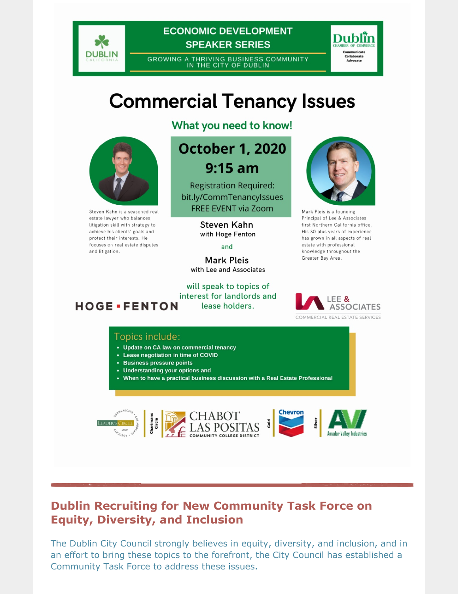

**ECONOMIC DEVELOPMENT SPEAKER SERIES** 

GROWING A THRIVING BUSINESS COMMUNITY<br>IN THE CITY OF DUBLIN



### **Commercial Tenancy Issues**



Steven Kahn is a seasoned real estate lawyer who balances litigation skill with strategy to achieve his clients' goals and protect their interests. He focuses on real estate disputes and litigation.

What you need to know!

#### **October 1, 2020**  $9:15$  am

**Registration Required:** bit.ly/CommTenancyIssues **FREE EVENT via Zoom** 

> Steven Kahn with Hoge Fenton

> > and

**Mark Pleis** with Lee and Associates

will speak to topics of interest for landlords and **HOGE** · FENTON lease holders.



Mark Pleis is a founding Principal of Lee & Associates first Northern California office. His 30 plus years of experience has grown in all aspects of real estate with professional knowledge throughout the Greater Bay Area.



#### Topics include:

- Update on CA law on commercial tenancy
- Lease negotiation in time of COVID
- Business pressure points
- Understanding your options and
- When to have a practical business discussion with a Real Estate Professional









#### **Dublin Recruiting for New Community Task Force on Equity, Diversity, and Inclusion**

The Dublin City Council strongly believes in equity, diversity, and inclusion, and in an effort to bring these topics to the forefront, the City Council has established a Community Task Force to address these issues.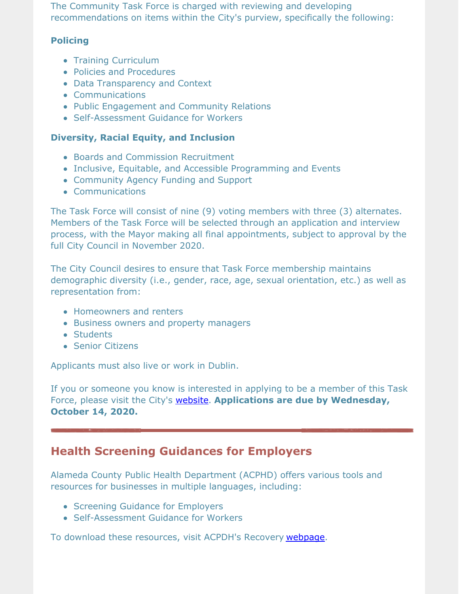The Community Task Force is charged with reviewing and developing recommendations on items within the City's purview, specifically the following:

#### **Policing**

- Training Curriculum
- Policies and Procedures
- Data Transparency and Context
- Communications
- Public Engagement and Community Relations
- Self-Assessment Guidance for Workers

#### **Diversity, Racial Equity, and Inclusion**

- Boards and Commission Recruitment
- Inclusive, Equitable, and Accessible Programming and Events
- Community Agency Funding and Support
- Communications

The Task Force will consist of nine (9) voting members with three (3) alternates. Members of the Task Force will be selected through an application and interview process, with the Mayor making all final appointments, subject to approval by the full City Council in November 2020.

The City Council desires to ensure that Task Force membership maintains demographic diversity (i.e., gender, race, age, sexual orientation, etc.) as well as representation from:

- Homeowners and renters
- Business owners and property managers
- Students
- **Senior Citizens**

Applicants must also live or work in Dublin.

If you or someone you know is interested in applying to be a member of this Task Force, please visit the City's [website](https://dublin.ca.gov/2226/Community-Task-Force-on-Equity-Diversity). **Applications are due by Wednesday, October 14, 2020.**

#### **Health Screening Guidances for Employers**

Alameda County Public Health Department (ACPHD) offers various tools and resources for businesses in multiple languages, including:

- Screening Guidance for Employers
- Self-Assessment Guidance for Workers

To download these resources, visit ACPDH's Recovery [webpage](https://covid-19.acgov.org/recovery.page).